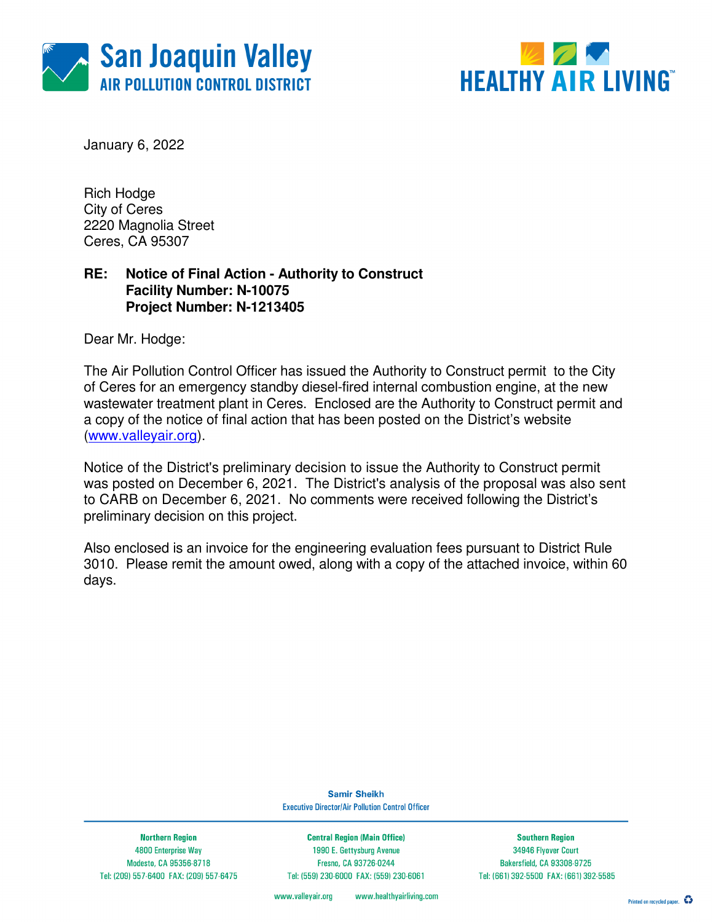



January 6, 2022

Rich Hodge City of Ceres 2220 Magnolia Street Ceres, CA 95307

### **RE: Notice of Final Action - Authority to Construct Facility Number: N-10075 Project Number: N-1213405**

Dear Mr. Hodge:

The Air Pollution Control Officer has issued the Authority to Construct permit to the City of Ceres for an emergency standby diesel-fired internal combustion engine, at the new wastewater treatment plant in Ceres. Enclosed are the Authority to Construct permit and a copy of the notice of final action that has been posted on the District's website (www.valleyair.org).

Notice of the District's preliminary decision to issue the Authority to Construct permit was posted on December 6, 2021. The District's analysis of the proposal was also sent to CARB on December 6, 2021. No comments were received following the District's preliminary decision on this project.

Also enclosed is an invoice for the engineering evaluation fees pursuant to District Rule 3010. Please remit the amount owed, along with a copy of the attached invoice, within 60 days.

> **Samir Sheikh Executive Director/Air Pollution Control Officer**

**Northern Region** 4800 Enterprise Way Modesto, CA 95356-8718 Tel: (209) 557-6400 FAX: (209) 557-6475

**Central Region (Main Office)** 1990 E. Gettysburg Avenue Fresno, CA 93726-0244 Tel: (559) 230-6000 FAX: (559) 230-6061

**Southern Region** 34946 Flyover Court Bakersfield, CA 93308-9725 Tel: (661) 392-5500 FAX: (661) 392-5585

www.healthyairliving.com www.valleyair.org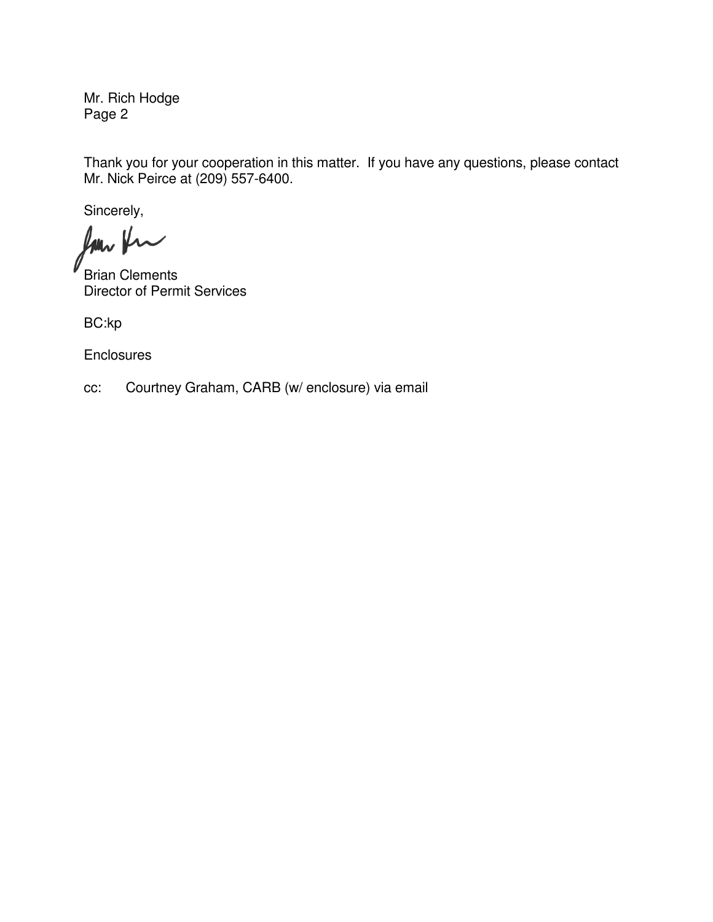Mr. Rich Hodge Page 2

Thank you for your cooperation in this matter. If you have any questions, please contact Mr. Nick Peirce at (209) 557-6400.

Sincerely,

for fu

Brian Clements Director of Permit Services

BC:kp

**Enclosures** 

cc: Courtney Graham, CARB (w/ enclosure) via email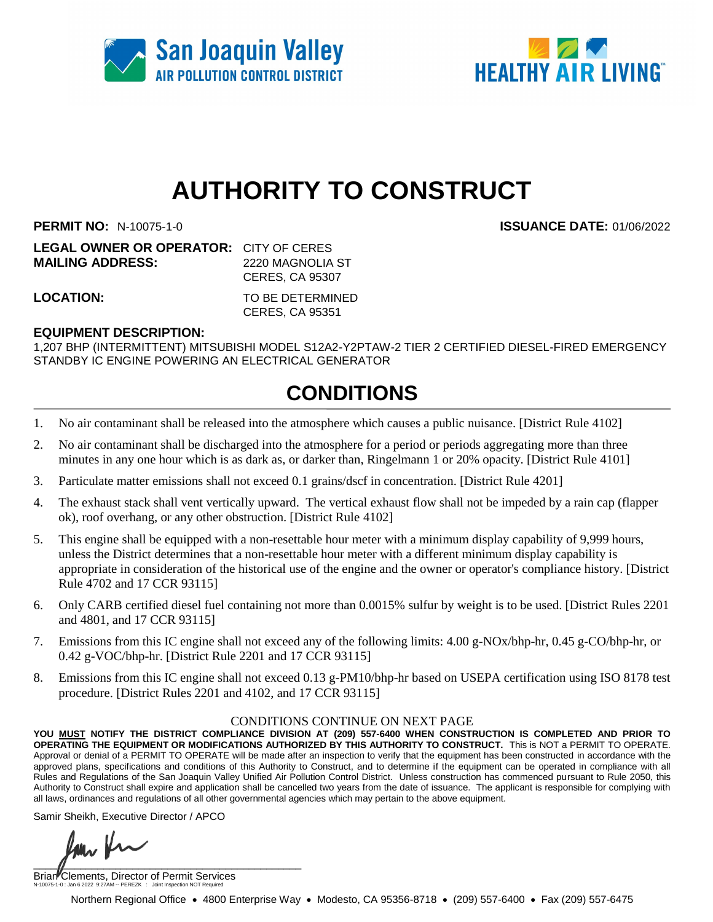



# **AUTHORITY TO CONSTRUCT**

**PERMIT NO:** N-10075-1-0 **ISSUANCE DATE:** 01/06/2022

| <b>LEGAL OWNER OR OPERATOR:</b> CITY OF CERES |                        |
|-----------------------------------------------|------------------------|
| <b>MAILING ADDRESS:</b>                       | 2220 MAGNOLIA ST       |
|                                               | <b>CERES, CA 95307</b> |
| LOCATION:                                     | TO BE DETERMINED       |

CERES, CA 95351

#### **EQUIPMENT DESCRIPTION:**

1,207 BHP (INTERMITTENT) MITSUBISHI MODEL S12A2-Y2PTAW-2 TIER 2 CERTIFIED DIESEL-FIRED EMERGENCY STANDBY IC ENGINE POWERING AN ELECTRICAL GENERATOR

## **CONDITIONS**

- 1. No air contaminant shall be released into the atmosphere which causes a public nuisance. [District Rule 4102]
- 2. No air contaminant shall be discharged into the atmosphere for a period or periods aggregating more than three minutes in any one hour which is as dark as, or darker than, Ringelmann 1 or 20% opacity. [District Rule 4101]
- 3. Particulate matter emissions shall not exceed 0.1 grains/dscf in concentration. [District Rule 4201]
- 4. The exhaust stack shall vent vertically upward. The vertical exhaust flow shall not be impeded by a rain cap (flapper ok), roof overhang, or any other obstruction. [District Rule 4102]
- 5. This engine shall be equipped with a non-resettable hour meter with a minimum display capability of 9,999 hours, unless the District determines that a non-resettable hour meter with a different minimum display capability is appropriate in consideration of the historical use of the engine and the owner or operator's compliance history. [District Rule 4702 and 17 CCR 93115]
- 6. Only CARB certified diesel fuel containing not more than 0.0015% sulfur by weight is to be used. [District Rules 2201 and 4801, and 17 CCR 93115]
- 7. Emissions from this IC engine shall not exceed any of the following limits: 4.00 g-NOx/bhp-hr, 0.45 g-CO/bhp-hr, or 0.42 g-VOC/bhp-hr. [District Rule 2201 and 17 CCR 93115]
- 8. Emissions from this IC engine shall not exceed 0.13 g-PM10/bhp-hr based on USEPA certification using ISO 8178 test procedure. [District Rules 2201 and 4102, and 17 CCR 93115]

#### CONDITIONS CONTINUE ON NEXT PAGE

**YOU MUST NOTIFY THE DISTRICT COMPLIANCE DIVISION AT (209) 557-6400 WHEN CONSTRUCTION IS COMPLETED AND PRIOR TO OPERATING THE EQUIPMENT OR MODIFICATIONS AUTHORIZED BY THIS AUTHORITY TO CONSTRUCT.** This is NOT a PERMIT TO OPERATE. Approval or denial of a PERMIT TO OPERATE will be made after an inspection to verify that the equipment has been constructed in accordance with the approved plans, specifications and conditions of this Authority to Construct, and to determine if the equipment can be operated in compliance with all Rules and Regulations of the San Joaquin Valley Unified Air Pollution Control District. Unless construction has commenced pursuant to Rule 2050, this Authority to Construct shall expire and application shall be cancelled two years from the date of issuance. The applicant is responsible for complying with all laws, ordinances and regulations of all other governmental agencies which may pertain to the above equipment.

Samir Sheikh, Executive Director / APCO

 $\blacksquare$ 

Brian Clements, Director of Permit Services N-10075-1-0 : Jan 6 2022 9:27AM -- PEREZK : Joint Inspection NOT Required

Northern Regional Office • 4800 Enterprise Way • Modesto, CA 95356-8718 • (209) 557-6400 • Fax (209) 557-6475